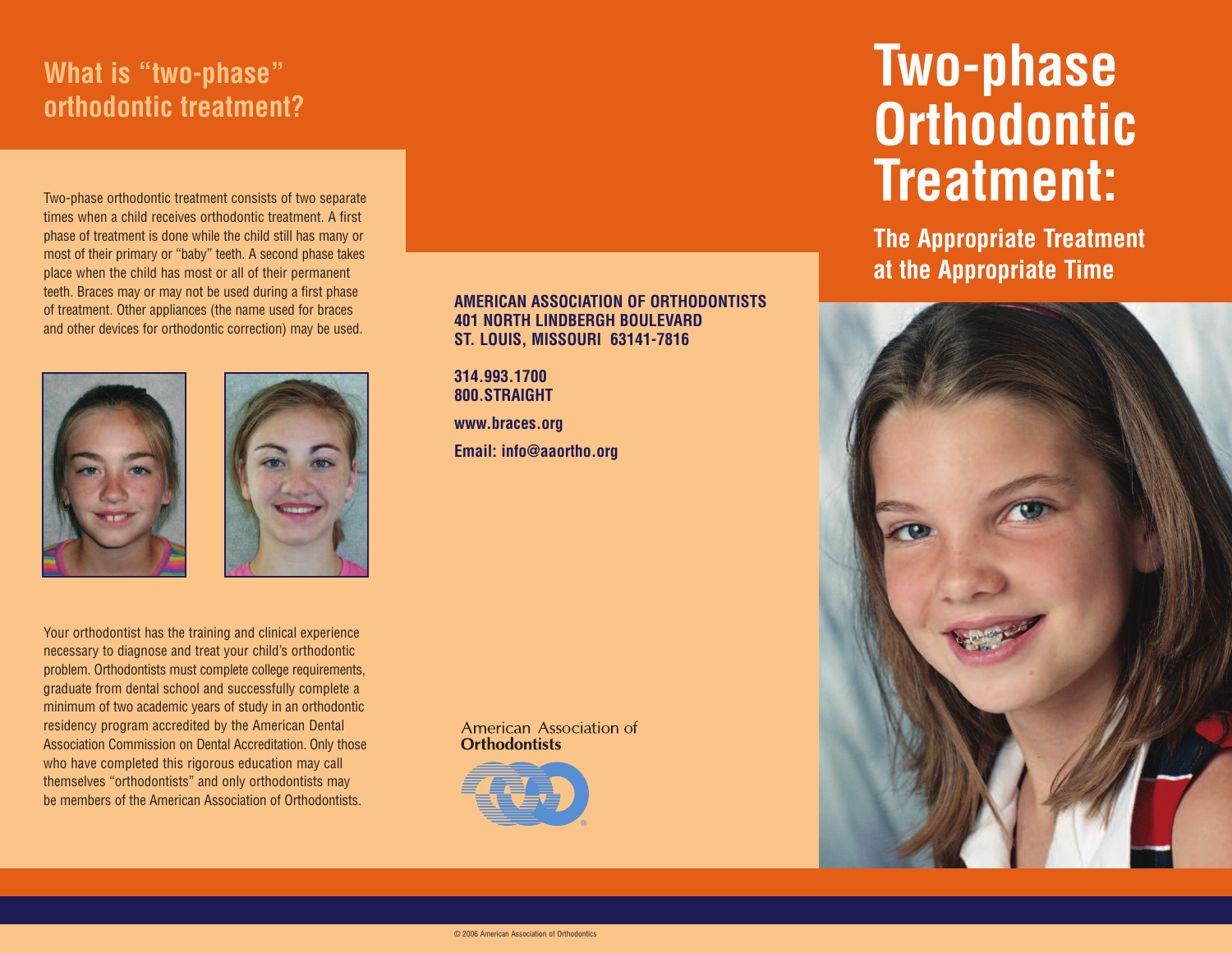# **What is "two-phase" orthodontic treatment?**

Two-phase orthodontic treatment consists of two separate times when a child receives orthodontic treatment. A first phase of treatment is done while the child still has many or most of their primary or "baby" teeth. A second phase takes place when the child has most or all of their permanent teeth. Braces may or may not be used during a first phase of treatment. Other appliances (the name used for braces and other devices for orthodontic correction) may be used.





Your orthodontist has the training and clinical experience necessary to diagnose and treat your child's orthodontic problem. Orthodontists must complete college requirements, graduate from dental school and successfully complete a minimum of two academic years of study in an orthodontic residency program accredited by the American Dental Association Commission on Dental Accreditation. Only those who have completed this rigorous education may call themselves "orthodontists" and only orthodontists may be members of the American Association of Orthodontists.

## **AMERICAN ASSOCIATION OF ORTHODONTISTS 401 NORTH LINDBERGH BOULEVARD ST. LOUIS, MISSOURI 63141-7816**

**314.993.1700 800.STRAIGHT**

**www.braces.org Email: info@aaortho.org**

American Association of **Orthodontists** 



# **Two-phase Orthodontic Treatment:**

**The Appropriate Treatment at the Appropriate Time**